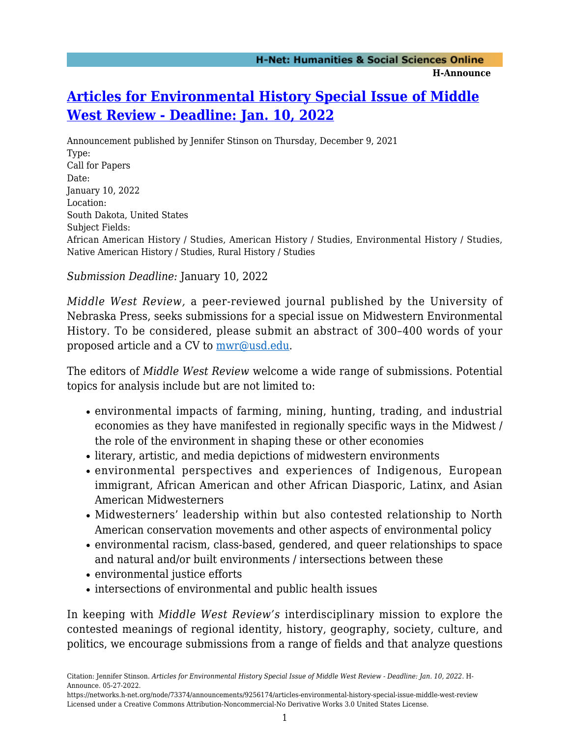## **[Articles for Environmental History Special Issue of Middle](https://networks.h-net.org/node/73374/announcements/9256174/articles-environmental-history-special-issue-middle-west-review) [West Review - Deadline: Jan. 10, 2022](https://networks.h-net.org/node/73374/announcements/9256174/articles-environmental-history-special-issue-middle-west-review)**

Announcement published by Jennifer Stinson on Thursday, December 9, 2021 Type: Call for Papers Date: January 10, 2022 Location: South Dakota, United States Subject Fields: African American History / Studies, American History / Studies, Environmental History / Studies, Native American History / Studies, Rural History / Studies

*Submission Deadline:* January 10, 2022

*Middle West Review,* a peer-reviewed journal published by the University of Nebraska Press, seeks submissions for a special issue on Midwestern Environmental History. To be considered, please submit an abstract of 300–400 words of your proposed article and a CV to  $\frac{mwr@usd.edu}{mwr@usd.edu}$ .

The editors of *Middle West Review* welcome a wide range of submissions. Potential topics for analysis include but are not limited to:

- environmental impacts of farming, mining, hunting, trading, and industrial economies as they have manifested in regionally specific ways in the Midwest / the role of the environment in shaping these or other economies
- literary, artistic, and media depictions of midwestern environments
- environmental perspectives and experiences of Indigenous, European immigrant, African American and other African Diasporic, Latinx, and Asian American Midwesterners
- Midwesterners' leadership within but also contested relationship to North American conservation movements and other aspects of environmental policy
- environmental racism, class-based, gendered, and queer relationships to space and natural and/or built environments / intersections between these
- environmental justice efforts
- intersections of environmental and public health issues

In keeping with *Middle West Review's* interdisciplinary mission to explore the contested meanings of regional identity, history, geography, society, culture, and politics, we encourage submissions from a range of fields and that analyze questions